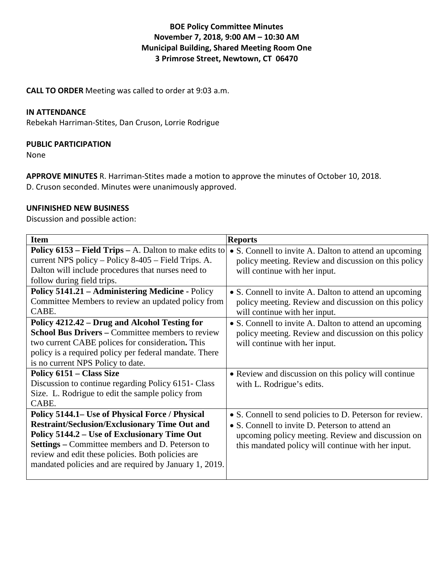# **BOE Policy Committee Minutes November 7, 2018, 9:00 AM – 10:30 AM Municipal Building, Shared Meeting Room One 3 Primrose Street, Newtown, CT 06470**

**CALL TO ORDER** Meeting was called to order at 9:03 a.m.

## **IN ATTENDANCE**

Rebekah Harriman-Stites, Dan Cruson, Lorrie Rodrigue

## **PUBLIC PARTICIPATION**

None

**APPROVE MINUTES** R. Harriman-Stites made a motion to approve the minutes of October 10, 2018.

D. Cruson seconded. Minutes were unanimously approved.

## **UNFINISHED NEW BUSINESS**

Discussion and possible action:

| <b>Item</b>                                                   | <b>Reports</b>                                           |
|---------------------------------------------------------------|----------------------------------------------------------|
| <b>Policy 6153 – Field Trips – A.</b> Dalton to make edits to | • S. Connell to invite A. Dalton to attend an upcoming   |
| current NPS policy – Policy 8-405 – Field Trips. A.           | policy meeting. Review and discussion on this policy     |
| Dalton will include procedures that nurses need to            | will continue with her input.                            |
| follow during field trips.                                    |                                                          |
| Policy 5141.21 - Administering Medicine - Policy              | • S. Connell to invite A. Dalton to attend an upcoming   |
| Committee Members to review an updated policy from            | policy meeting. Review and discussion on this policy     |
| CABE.                                                         | will continue with her input.                            |
| Policy 4212.42 – Drug and Alcohol Testing for                 | • S. Connell to invite A. Dalton to attend an upcoming   |
| <b>School Bus Drivers – Committee members to review</b>       | policy meeting. Review and discussion on this policy     |
| two current CABE polices for consideration. This              | will continue with her input.                            |
| policy is a required policy per federal mandate. There        |                                                          |
| is no current NPS Policy to date.                             |                                                          |
| Policy 6151 – Class Size                                      | • Review and discussion on this policy will continue     |
| Discussion to continue regarding Policy 6151- Class           | with L. Rodrigue's edits.                                |
| Size. L. Rodrigue to edit the sample policy from              |                                                          |
| CABE.                                                         |                                                          |
| Policy 5144.1– Use of Physical Force / Physical               | • S. Connell to send policies to D. Peterson for review. |
| <b>Restraint/Seclusion/Exclusionary Time Out and</b>          | • S. Connell to invite D. Peterson to attend an          |
| Policy 5144.2 – Use of Exclusionary Time Out                  | upcoming policy meeting. Review and discussion on        |
| <b>Settings</b> – Committee members and D. Peterson to        | this mandated policy will continue with her input.       |
| review and edit these policies. Both policies are             |                                                          |
| mandated policies and are required by January 1, 2019.        |                                                          |
|                                                               |                                                          |